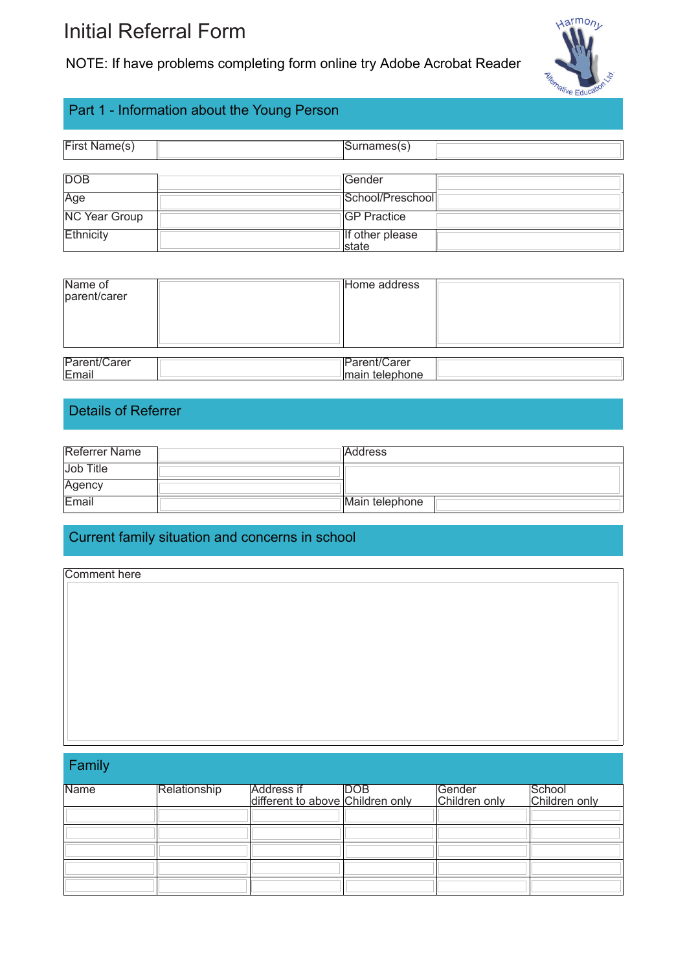# Initial Referral Form

NOTE: If have problems completing form online try Adobe Acrobat Reader



# Part 1 - Information about the Young Person

| First Name(s)        | Surnames(s)                      |  |
|----------------------|----------------------------------|--|
| <b>DOB</b>           | <b>Gender</b>                    |  |
| Age                  | School/Preschool                 |  |
| <b>NC Year Group</b> | <b>GP Practice</b>               |  |
| Ethnicity            | If other please<br><b>Istate</b> |  |

| Name of<br>parent/carer | Home address   |
|-------------------------|----------------|
| Parent/Carer            | Parent/Carer   |
| Email                   | main telephone |

## Details of Referrer

| <b>Referrer Name</b> | <b>Address</b> |
|----------------------|----------------|
| Job Title            |                |
| Agency               |                |
| Email                | Main telephone |

#### Current family situation and concerns in school

| Comment here |  |  |
|--------------|--|--|
|              |  |  |
|              |  |  |
|              |  |  |
|              |  |  |
|              |  |  |
|              |  |  |
|              |  |  |
|              |  |  |
|              |  |  |

Family

| <b>Name</b> | Relationship | Address if<br>different to above Children only | <b>DOB</b> | Gender<br>Children only | School<br>Children only |
|-------------|--------------|------------------------------------------------|------------|-------------------------|-------------------------|
|             |              |                                                |            |                         |                         |
|             |              |                                                |            |                         |                         |
|             |              |                                                |            |                         |                         |
|             |              |                                                |            |                         |                         |
|             |              |                                                |            |                         |                         |